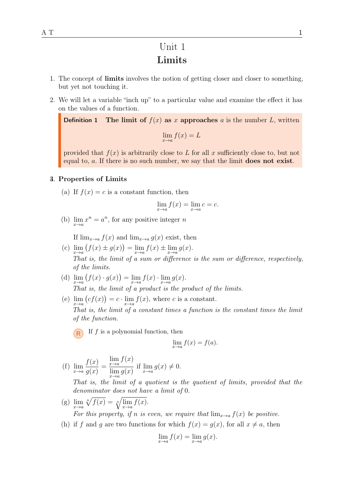## Unit 1 Limits

- 1. The concept of limits involves the notion of getting closer and closer to something, but yet not touching it.
- 2. We will let a variable "inch up" to a particular value and examine the effect it has on the values of a function.

**Definition 1** The limit of  $f(x)$  as x approaches a is the number L, written  $\lim_{x \to a} f(x) = L$ 

provided that  $f(x)$  is arbitrarily close to L for all x sufficiently close to, but not equal to, a. If there is no such number, we say that the limit does not exist.

#### **4. Properties of Limits**

(a) If  $f(x) = c$  is a constant function, then

$$
\lim_{x \to a} f(x) = \lim_{x \to a} c = c.
$$

(b)  $\lim_{x \to a} x^n = a^n$ , for any positive integer *n* 

If  $\lim_{x\to a} f(x)$  and  $\lim_{x\to a} q(x)$  exist, then

- (c)  $\lim_{x \to a} (f(x) \pm g(x)) = \lim_{x \to a} f(x) \pm \lim_{x \to a} g(x)$ . That is, the limit of a sum or difference is the sum or difference, respectively, of the limits.
- (d)  $\lim_{x \to a} (f(x) \cdot g(x)) = \lim_{x \to a} f(x) \cdot \lim_{x \to a} g(x)$ . That is, the limit of a product is the product of the limits.
- (e)  $\lim_{x \to a} (cf(x)) = c \cdot \lim_{x \to a} f(x)$ , where c is a constant. That is, the limit of a constant times a function is the constant times the limit of the function.
	- $R$  If f is a polynomial function, then

$$
\lim_{x \to a} f(x) = f(a).
$$

(f) 
$$
\lim_{x \to a} \frac{f(x)}{g(x)} = \frac{\lim_{x \to a} f(x)}{\lim_{x \to a} g(x)} \text{ if } \lim_{x \to a} g(x) \neq 0.
$$

That is, the limit of a quotient is the quotient of limits, provided that the denominator does not have a limit of 0.

(g)  $\lim_{x \to a} \sqrt[n]{f(x)} = \sqrt[n]{\lim_{x \to a} f(x)}$ .

For this property, if n is even, we require that  $\lim_{x\to a} f(x)$  be positive.

(h) if f and g are two functions for which  $f(x) = g(x)$ , for all  $x \neq a$ , then

$$
\lim_{x \to a} f(x) = \lim_{x \to a} g(x).
$$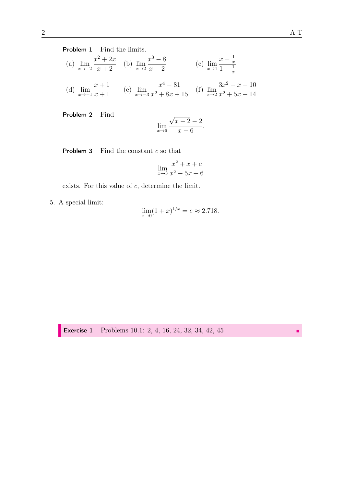Problem 1 Find the limits.

(a) 
$$
\lim_{x \to -2} \frac{x^2 + 2x}{x + 2}
$$
 (b)  $\lim_{x \to 2} \frac{x^3 - 8}{x - 2}$  (c)  $\lim_{x \to 1} \frac{x - \frac{1}{x}}{1 - \frac{1}{x}}$   
(d)  $\lim_{x \to -1} \frac{x + 1}{x + 1}$  (e)  $\lim_{x \to -3} \frac{x^4 - 81}{x^2 + 8x + 15}$  (f)  $\lim_{x \to 2} \frac{3x^2 - x - 10}{x^2 + 5x - 14}$ 

Problem 2 Find

$$
\lim_{x \to 6} \frac{\sqrt{x-2} - 2}{x - 6}.
$$

**Problem 3** Find the constant  $c$  so that

$$
\lim_{x \to 3} \frac{x^2 + x + c}{x^2 - 5x + 6}
$$

exists. For this value of  $c$ , determine the limit.

5. A special limit:

$$
\lim_{x \to 0} (1+x)^{1/x} = e \approx 2.718.
$$

**Exercise 1** Problems 10.1: 2, 4, 16, 24, 32, 34, 42, 45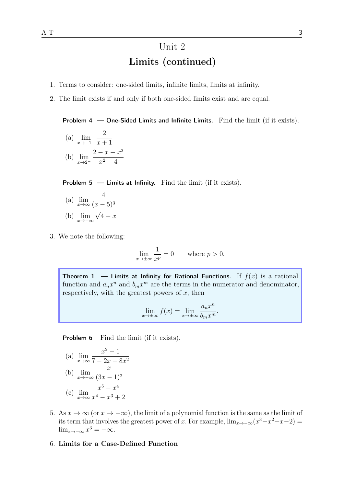# Unit 2 Limits (continued)

- 1. Terms to consider: one-sided limits, infinite limits, limits at infinity.
- 2. The limit exists if and only if both one-sided limits exist and are equal.

Problem 4 — One-Sided Limits and Infinite Limits. Find the limit (if it exists).

(a)  $\lim_{x \to -1^+}$ 2  $x + 1$ (b)  $\lim_{x\to 2^-}$  $2 - x - x^2$  $x^2-4$ 

**Problem 5 — Limits at Infinity.** Find the limit (if it exists).

- (a)  $\lim_{x\to\infty}$ 4  $(x-5)^3$ (b)  $\lim_{x \to -\infty}$ √  $4 - x$
- 3. We note the following:

$$
\lim_{x \to \pm \infty} \frac{1}{x^p} = 0 \quad \text{where } p > 0.
$$

Theorem 1 — Limits at Infinity for Rational Functions. If  $f(x)$  is a rational function and  $a_n x^n$  and  $b_m x^m$  are the terms in the numerator and denominator, respectively, with the greatest powers of  $x$ , then

$$
\lim_{x \to \pm \infty} f(x) = \lim_{x \to \pm \infty} \frac{a_n x^n}{b_m x^m}.
$$

Problem 6 Find the limit (if it exists).

(a) 
$$
\lim_{x \to \infty} \frac{x^2 - 1}{7 - 2x + 8x^2}
$$
  
\n(b)  $\lim_{x \to -\infty} \frac{x}{(3x - 1)^2}$   
\n(c)  $\lim_{x \to \infty} \frac{x^5 - x^4}{x^4 - x^3 + 2}$ 

- 5. As  $x \to \infty$  (or  $x \to -\infty$ ), the limit of a polynomial function is the same as the limit of its term that involves the greatest power of x. For example,  $\lim_{x\to-\infty} (x^3 - x^2 + x - 2)$  $\lim_{x \to -\infty} x^3 = -\infty.$
- 6. Limits for a Case-Defined Function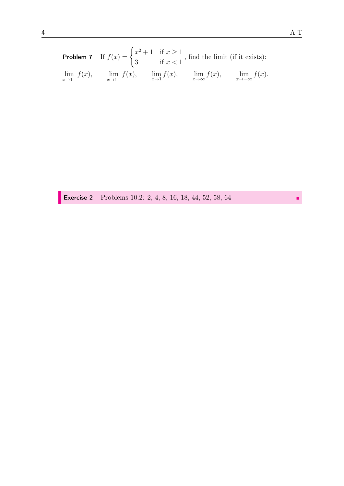**Problem 7** If  $f(x) = \begin{cases} x^2 + 1 & \text{if } x \ge 1 \\ 0 & \text{if } x \ge 1 \end{cases}$ 3 if  $x < 1$ , find the limit (if it exists):  $\lim_{x\to 1^+}$  $f(x)$ ,  $\lim_{x \to 1^{-}} f(x)$ ,  $\lim_{x \to 1} f(x)$ ,  $\lim_{x \to \infty} f(x)$ ,  $\lim_{x \to -\infty} f(x)$ .

**Exercise 2** Problems 10.2: 2, 4, 8, 16, 18, 44, 52, 58, 64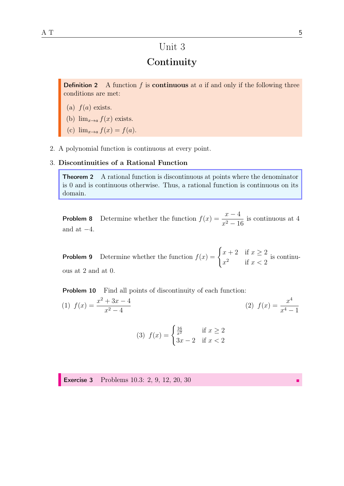## Unit 3

## **Continuity**

**Definition 2** A function  $f$  is **continuous** at  $a$  if and only if the following three conditions are met:

- (a)  $f(a)$  exists.
- (b)  $\lim_{x\to a} f(x)$  exists.
- (c)  $\lim_{x\to a} f(x) = f(a)$ .
- 2. A polynomial function is continuous at every point.

### 3. Discontinuities of a Rational Function

Theorem 2 A rational function is discontinuous at points where the denominator is 0 and is continuous otherwise. Thus, a rational function is continuous on its domain.

**Problem 8** Determine whether the function  $f(x) = \frac{x-4}{2}$  $x^2 - 16$ is continuous at 4 and at  $-4$ .

**Problem 9** Determine whether the function  $f(x) = \begin{cases} x+2 & \text{if } x \geq 2 \\ 2 & \text{if } x \geq 3 \end{cases}$  $x^2$  if  $x < 2$ is continuous at 2 and at 0.

**Problem 10** Find all points of discontinuity of each function:

(1)  $f(x) = \frac{x^2 + 3x - 4}{x^2 - 4}$  $x^2-4$ (2)  $f(x) = \frac{x^4}{4}$  $x^4 - 1$ 

(3) 
$$
f(x) = \begin{cases} \frac{16}{x^2} & \text{if } x \ge 2\\ 3x - 2 & \text{if } x < 2 \end{cases}
$$

**Exercise 3** Problems 10.3: 2, 9, 12, 20, 30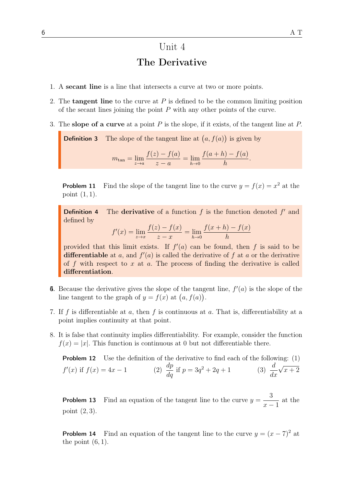# Unit 4 The Derivative

- 1. A secant line is a line that intersects a curve at two or more points.
- 2. The **tangent line** to the curve at  $P$  is defined to be the common limiting position of the secant lines joining the point  $P$  with any other points of the curve.
- 3. The slope of a curve at a point  $P$  is the slope, if it exists, of the tangent line at  $P$ .

**Definition 3** The slope of the tangent line at  $(a, f(a))$  is given by

$$
m_{\tan} = \lim_{z \to a} \frac{f(z) - f(a)}{z - a} = \lim_{h \to 0} \frac{f(a + h) - f(a)}{h}.
$$

**Problem 11** Find the slope of the tangent line to the curve  $y = f(x) = x^2$  at the point  $(1, 1)$ .

**Definition 4** The **derivative** of a function  $f$  is the function denoted  $f'$  and defined by

$$
f'(x) = \lim_{z \to x} \frac{f(z) - f(x)}{z - x} = \lim_{h \to 0} \frac{f(x + h) - f(x)}{h}
$$

provided that this limit exists. If  $f'(a)$  can be found, then f is said to be differentiable at a, and  $f'(a)$  is called the derivative of f at a or the derivative of f with respect to  $x$  at  $a$ . The process of finding the derivative is called differentiation.

- **6.** Because the derivative gives the slope of the tangent line,  $f'(a)$  is the slope of the line tangent to the graph of  $y = f(x)$  at  $(a, f(a))$ .
- 7. If f is differentiable at a, then f is continuous at a. That is, differentiability at a point implies continuity at that point.
- 8. It is false that continuity implies differentiability. For example, consider the function  $f(x) = |x|$ . This function is continuous at 0 but not differentiable there.

**Problem 12** Use the definition of the derivative to find each of the following:  $(1)$  $f'(x)$  if  $f(x) = 4x - 1$  (2)  $\frac{dp}{dx}$  $\frac{dp}{dq}$  if  $p = 3q$  $x^2 + 2q + 1$  (3)  $\frac{d}{1}$  $dx$ √  $x + 2$ 

**Problem 13** Find an equation of the tangent line to the curve  $y =$ 3  $x - 1$ at the point (2, 3).

**Problem 14** Find an equation of the tangent line to the curve  $y = (x - 7)^2$  at the point  $(6, 1)$ .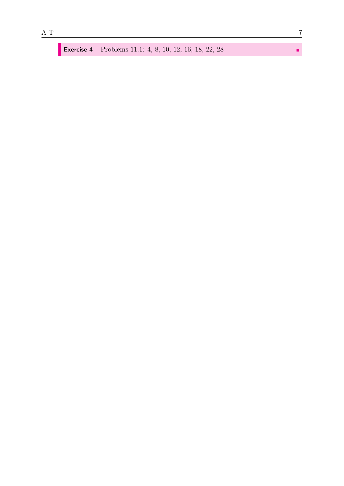ı

**Exercise 4** Problems 11.1: 4, 8, 10, 12, 16, 18, 22, 28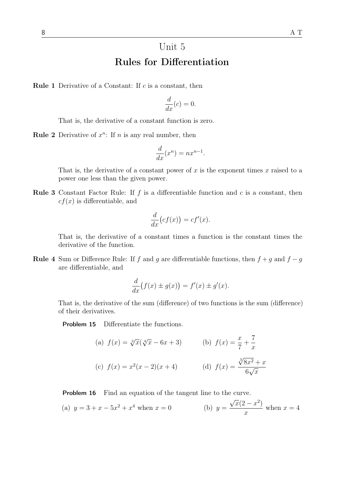# Unit 5 Rules for Differentiation

**Rule 1** Derivative of a Constant: If  $c$  is a constant, then

$$
\frac{d}{dx}(c) = 0.
$$

That is, the derivative of a constant function is zero.

**Rule 2** Derivative of  $x^n$ : If *n* is any real number, then

$$
\frac{d}{dx}(x^n) = nx^{n-1}.
$$

That is, the derivative of a constant power of x is the exponent times x raised to a power one less than the given power.

**Rule 3** Constant Factor Rule: If  $f$  is a differentiable function and  $c$  is a constant, then  $cf(x)$  is differentiable, and

$$
\frac{d}{dx}(cf(x)) = cf'(x).
$$

That is, the derivative of a constant times a function is the constant times the derivative of the function.

**Rule 4** Sum or Difference Rule: If f and g are differentiable functions, then  $f + g$  and  $f - g$ are differentiable, and

$$
\frac{d}{dx}(f(x) \pm g(x)) = f'(x) \pm g'(x).
$$

That is, the derivative of the sum (difference) of two functions is the sum (difference) of their derivatives.

Problem 15 Differentiate the functions.

(a) 
$$
f(x) = \sqrt[3]{x}(\sqrt[4]{x} - 6x + 3)
$$
   
\n(b)  $f(x) = \frac{x}{7} + \frac{7}{x}$   
\n(c)  $f(x) = x^2(x - 2)(x + 4)$   
\n(d)  $f(x) = \frac{\sqrt[3]{8x^2} + x}{6\sqrt{x}}$ 

**Problem 16** Find an equation of the tangent line to the curve.

(a) 
$$
y = 3 + x - 5x^2 + x^4
$$
 when  $x = 0$    
 (b)  $y = \frac{\sqrt{x}(2 - x^2)}{x}$  when  $x = 4$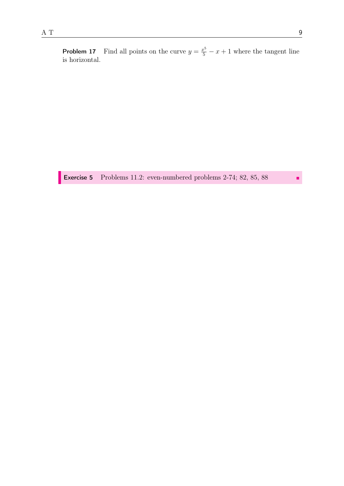**Problem 17** Find all points on the curve  $y = \frac{x^5}{5} - x + 1$  where the tangent line is horizontal.

Exercise 5 Problems 11.2: even-numbered problems 2-74; 82, 85, 88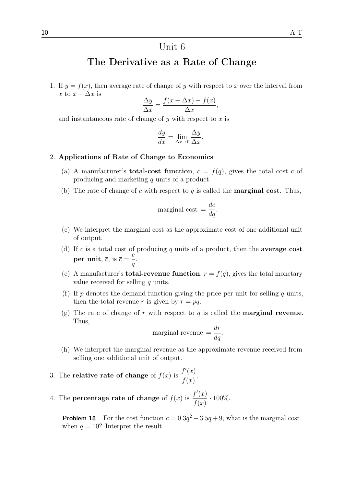## The Derivative as a Rate of Change

1. If  $y = f(x)$ , then average rate of change of y with respect to x over the interval from x to  $x + \Delta x$  is

$$
\frac{\Delta y}{\Delta x} = \frac{f(x + \Delta x) - f(x)}{\Delta x},
$$

and instantaneous rate of change of  $y$  with respect to  $x$  is

$$
\frac{dy}{dx} = \lim_{\Delta x \to 0} \frac{\Delta y}{\Delta x}.
$$

#### 2. Applications of Rate of Change to Economics

- (a) A manufacturer's **total-cost function**,  $c = f(q)$ , gives the total cost c of producing and marketing q units of a product.
- (b) The rate of change of c with respect to q is called the **marginal cost**. Thus,

marginal cost = 
$$
\frac{dc}{dq}
$$
.

- (c) We interpret the marginal cost as the approximate cost of one additional unit of output.
- (d) If c is a total cost of producing q units of a product, then the **average cost** per unit,  $\overline{c}$ , is  $\overline{c}$  =  $\bar{c}$ q .
- (e) A manufacturer's **total-revenue function**,  $r = f(q)$ , gives the total monetary value received for selling  $q$  units.
- (f) If p denotes the demand function giving the price per unit for selling q units, then the total revenue r is given by  $r = pq$ .
- (g) The rate of change of r with respect to q is called the **marginal revenue**. Thus,

marginal revenue 
$$
=
$$
  $\frac{dr}{dq}$ .

- (h) We interpret the marginal revenue as the approximate revenue received from selling one additional unit of output.
- 3. The **relative rate of change** of  $f(x)$  is  $f'(x)$  $f(x)$ .
- 4. The **percentage rate of change** of  $f(x)$  is  $f'(x)$  $f(x)$  $\cdot 100\%$ .

**Problem 18** For the cost function  $c = 0.3q^2 + 3.5q + 9$ , what is the marginal cost when  $q = 10$ ? Interpret the result.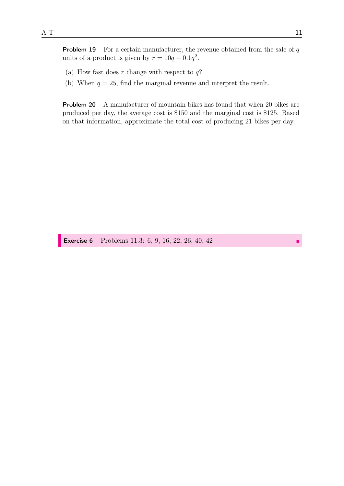**Problem 19** For a certain manufacturer, the revenue obtained from the sale of  $q$ units of a product is given by  $r = 10q - 0.1q^2$ .

- (a) How fast does r change with respect to  $q$ ?
- (b) When  $q = 25$ , find the marginal revenue and interpret the result.

Problem 20 A manufacturer of mountain bikes has found that when 20 bikes are produced per day, the average cost is \$150 and the marginal cost is \$125. Based on that information, approximate the total cost of producing 21 bikes per day.

Exercise 6 Problems 11.3: 6, 9, 16, 22, 26, 40, 42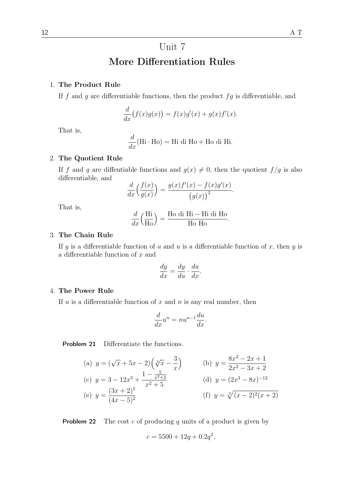# Unit 7 More Differentiation Rules

### 1. The Product Rule

If  $f$  and  $g$  are differentiable functions, then the product  $fg$  is differentiable, and

$$
\frac{d}{dx}(f(x)g(x)) = f(x)g'(x) + g(x)f'(x).
$$

That is,

$$
\frac{d}{dx}(\text{Hi} \cdot \text{Ho}) = \text{Hi di Ho} + \text{Ho di Hi}.
$$

### 2. The Quotient Rule

If f and g are diffentiable functions and  $g(x) \neq 0$ , then the quotient  $f/g$  is also differentiable, and

$$
\frac{d}{dx}\left(\frac{f(x)}{g(x)}\right) = \frac{g(x)f'(x) - f(x)g'(x)}{(g(x))^2}.
$$

That is,

$$
\frac{d}{dx}\left(\frac{\text{Hi}}{\text{Ho}}\right) = \frac{\text{Ho di Hi} - \text{Hi di Ho}}{\text{Ho Ho}}.
$$

### 3. The Chain Rule

If y is a differentiable function of u and u is a differentiable function of x, then y is a differentiable function of x and

$$
\frac{dy}{dx} = \frac{dy}{du} \cdot \frac{du}{dx}.
$$

### 4. The Power Rule

If  $u$  is a differentiable function of  $x$  and  $n$  is any real number, then

$$
\frac{d}{dx}u^n = nu^{n-1}\frac{du}{dx}.
$$

Problem 21 Differentiate the functions.

(a) 
$$
y = (\sqrt{x} + 5x - 2)(\sqrt[3]{x} - \frac{3}{x})
$$
  
\n(b)  $y = \frac{8x^2 - 2x + 1}{2x^2 - 3x + 2}$   
\n(c)  $y = 3 - 12x^3 + \frac{1 - \frac{5}{x^2 + 2}}{x^2 + 5}$   
\n(d)  $y = (2x^3 - 8x)^{-12}$   
\n(e)  $y = \frac{(3x + 2)^5}{(4x - 5)^2}$   
\n(f)  $y = \sqrt[3]{(x - 2)^2(x + 2)}$ 

**Problem 22** The cost c of producing q units of a product is given by

$$
c = 5500 + 12q + 0.2q^2.
$$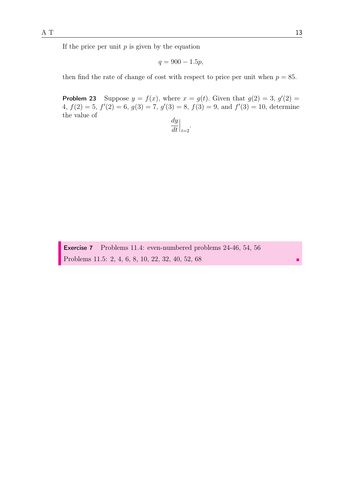$$
q = 900 - 1.5p,
$$

then find the rate of change of cost with respect to price per unit when  $p = 85$ .

**Problem 23** Suppose  $y = f(x)$ , where  $x = g(t)$ . Given that  $g(2) = 3$ ,  $g'(2) =$ 4,  $f(2) = 5$ ,  $f'(2) = 6$ ,  $g(3) = 7$ ,  $g'(3) = 8$ ,  $f(3) = 9$ , and  $f'(3) = 10$ , determine the value of

$$
\left. \frac{dy}{dt} \right|_{t=2}.
$$

Exercise 7 Problems 11.4: even-numbered problems 24-46, 54, 56 Problems 11.5: 2, 4, 6, 8, 10, 22, 32, 40, 52, 68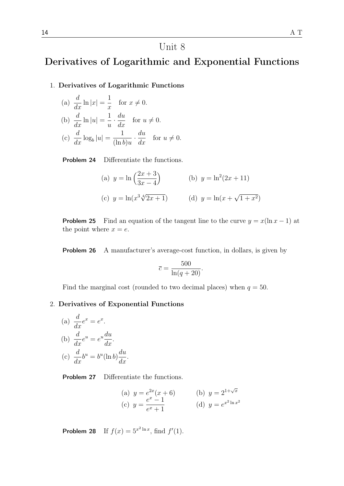## Unit 8

## Derivatives of Logarithmic and Exponential Functions

### 1. Derivatives of Logarithmic Functions

(a) 
$$
\frac{d}{dx} \ln |x| = \frac{1}{x}
$$
 for  $x \neq 0$ .  
\n(b)  $\frac{d}{dx} \ln |u| = \frac{1}{u} \cdot \frac{du}{dx}$  for  $u \neq 0$ .  
\n(c)  $\frac{d}{dx} \log_b |u| = \frac{1}{(\ln b)u} \cdot \frac{du}{dx}$  for  $u \neq 0$ .

Problem 24 Differentiate the functions.

(a) 
$$
y = \ln\left(\frac{2x+3}{3x-4}\right)
$$
   
\n(b)  $y = \ln^2(2x+11)$   
\n(c)  $y = \ln(x^3\sqrt[4]{2x+1})$    
\n(d)  $y = \ln(x+\sqrt{1+x^2})$ 

**Problem 25** Find an equation of the tangent line to the curve  $y = x(\ln x - 1)$  at the point where  $x = e$ .

Problem 26 A manufacturer's average-cost function, in dollars, is given by

$$
\overline{c} = \frac{500}{\ln(q+20)}.
$$

Find the marginal cost (rounded to two decimal places) when  $q = 50$ .

### 2. Derivatives of Exponential Functions

(a) 
$$
\frac{d}{dx}e^x = e^x
$$
.  
\n(b)  $\frac{d}{dx}e^u = e^u \frac{du}{dx}$ .  
\n(c)  $\frac{d}{dx}b^u = b^u(\ln b)\frac{du}{dx}$ .

Problem 27 Differentiate the functions.

(a) 
$$
y = e^{2x}(x+6)
$$
  
\n(b)  $y = 2^{1+\sqrt{x}}$   
\n(c)  $y = \frac{e^x - 1}{e^x + 1}$   
\n(d)  $y = e^{x^2 \ln x^2}$ 

**Problem 28** If  $f(x) = 5^{x^2 \ln x}$ , find  $f'(1)$ .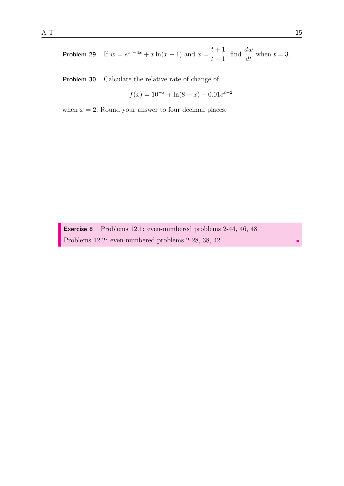**Problem 29** If 
$$
w = e^{x^3 - 4x} + x \ln(x - 1)
$$
 and  $x = \frac{t+1}{t-1}$ , find  $\frac{dw}{dt}$  when  $t = 3$ .

Problem 30 Calculate the relative rate of change of

$$
f(x) = 10^{-x} + \ln(8+x) + 0.01e^{x-2}
$$

when  $x = 2$ . Round your answer to four decimal places.

Exercise 8 Problems 12.1: even-numbered problems 2-44, 46, 48 Problems 12.2: even-numbered problems 2-28, 38, 42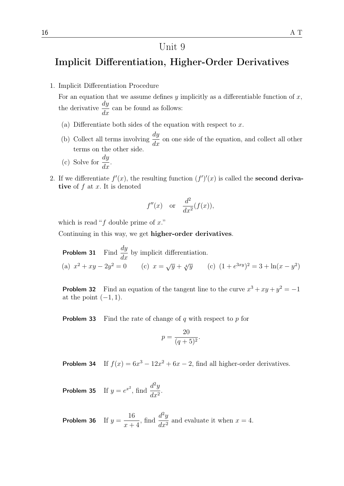### Unit 9

## Implicit Differentiation, Higher-Order Derivatives

1. Implicit Differentiation Procedure

For an equation that we assume defines  $y$  implicitly as a differentiable function of  $x$ , the derivative  $\frac{dy}{dt}$  $\frac{dy}{dx}$  can be found as follows:

- (a) Differentiate both sides of the equation with respect to  $x$ .
- (b) Collect all terms involving  $\frac{dy}{dx}$  $\frac{dy}{dx}$  on one side of the equation, and collect all other terms on the other side.
- (c) Solve for  $\frac{dy}{dx}$  $\frac{dy}{dx}$ .
- 2. If we differentiate  $f'(x)$ , the resulting function  $(f')'(x)$  is called the **second deriva**tive of  $f$  at  $x$ . It is denoted

$$
f''(x)
$$
 or  $\frac{d^2}{dx^2}(f(x))$ ,

which is read " $f$  double prime of  $x$ ."

Continuing in this way, we get higher-order derivatives.

**Problem 31** Find  $\frac{dy}{dx}$  $\frac{dy}{dx}$  by implicit differentiation. (a)  $x^2 + xy - 2y^2 = 0$  (c)  $x = \sqrt{y} + \sqrt[4]{y}$  (c)  $(1 + e^{3xy})^2 = 3 + \ln(x - y^2)$ 

**Problem 32** Find an equation of the tangent line to the curve  $x^3 + xy + y^2 = -1$ at the point  $(-1, 1)$ .

**Problem 33** Find the rate of change of q with respect to p for

$$
p = \frac{20}{(q+5)^2}.
$$

**Problem 34** If  $f(x) = 6x^3 - 12x^2 + 6x - 2$ , find all higher-order derivatives.

**Problem 35** If  $y = e^{x^2}$ , find  $\frac{d^2y}{dx^2}$  $\frac{d}{dx^2}$ 

Problem 36 If  $y =$ 16  $x + 4$ , find  $\frac{d^2y}{dx^2}$  $\frac{d^2y}{dx^2}$  and evaluate it when  $x = 4$ .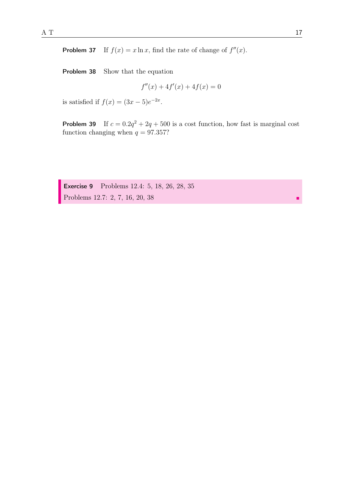**Problem 37** If  $f(x) = x \ln x$ , find the rate of change of  $f''(x)$ .

Problem 38 Show that the equation

$$
f''(x) + 4f'(x) + 4f(x) = 0
$$

is satisfied if  $f(x) = (3x - 5)e^{-2x}$ .

**Problem 39** If  $c = 0.2q^2 + 2q + 500$  is a cost function, how fast is marginal cost function changing when  $q = 97.357$ ?

Exercise 9 Problems 12.4: 5, 18, 26, 28, 35 Problems 12.7: 2, 7, 16, 20, 38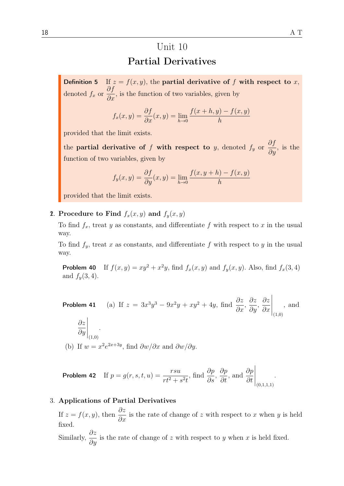# Unit 10 Partial Derivatives

**Definition 5** If  $z = f(x, y)$ , the **partial derivative of f with respect to** x, denoted  $f_x$  or ∂f  $\frac{\partial J}{\partial x}$ , is the function of two variables, given by

$$
f_x(x, y) = \frac{\partial f}{\partial x}(x, y) = \lim_{h \to 0} \frac{f(x + h, y) - f(x, y)}{h}
$$

provided that the limit exists.

the **partial derivative of** f **with respect to** y, denoted  $f_y$  or  $\frac{\partial f}{\partial y}$ , is the function of two variables, given by

$$
f_y(x, y) = \frac{\partial f}{\partial y}(x, y) = \lim_{h \to 0} \frac{f(x, y + h) - f(x, y)}{h}
$$

provided that the limit exists.

### 2. Procedure to Find  $f_x(x, y)$  and  $f_y(x, y)$

To find  $f_x$ , treat y as constants, and differentiate f with respect to x in the usual way.

To find  $f_y$ , treat x as constants, and differentiate f with respect to y in the usual way.

**Problem 40** If  $f(x, y) = xy^2 + x^2y$ , find  $f_x(x, y)$  and  $f_y(x, y)$ . Also, find  $f_x(3, 4)$ and  $f_y(3,4)$ .

**Problem 41** (a) If  $z = 3x^3y^3 - 9x^2y + xy^2 + 4y$ , find  $\frac{\partial z}{\partial x}$  $\frac{\partial z}{\partial x}$ , ∂z  $rac{\partial z}{\partial y}$ ∂z  $\partial x$  $\Bigg|_{(1,0)}$ , and ∂z ∂y  $\Bigg|_{(1,0)}$ . (b) If  $w = x^2 e^{2x+3y}$ , find  $\frac{\partial w}{\partial x}$  and  $\frac{\partial w}{\partial y}$ .

**Problem 42** If 
$$
p = g(r, s, t, u) = \frac{r s u}{r t^2 + s^2 t}
$$
, find  $\frac{\partial p}{\partial s}$ ,  $\frac{\partial p}{\partial t}$ , and  $\frac{\partial p}{\partial t}\Big|_{(0,1,1,1)}$ .

### 3. Applications of Partial Derivatives

If  $z = f(x, y)$ , then  $\frac{\partial z}{\partial x}$  is the rate of change of z with respect to x when y is held fixed.

Similarly,  $\frac{\partial z}{\partial x}$  $\frac{\partial z}{\partial y}$  is the rate of change of z with respect to y when x is held fixed.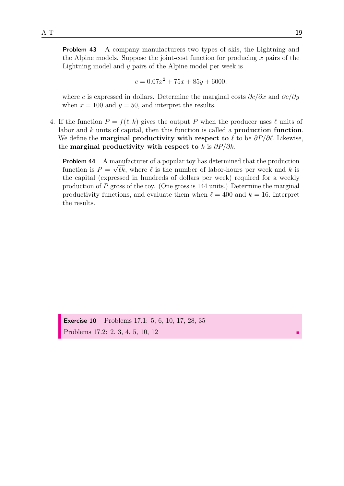Problem 43 A company manufacturers two types of skis, the Lightning and the Alpine models. Suppose the joint-cost function for producing  $x$  pairs of the Lightning model and y pairs of the Alpine model per week is

$$
c = 0.07x^2 + 75x + 85y + 6000,
$$

where c is expressed in dollars. Determine the marginal costs  $\partial c/\partial x$  and  $\partial c/\partial y$ when  $x = 100$  and  $y = 50$ , and interpret the results.

4. If the function  $P = f(\ell, k)$  gives the output P when the producer uses  $\ell$  units of labor and k units of capital, then this function is called a **production function**. We define the **marginal productivity with respect to**  $\ell$  to be  $\partial P/\partial \ell$ . Likewise, the marginal productivity with respect to k is  $\partial P/\partial k$ .

**Problem 44** A manufacturer of a popular toy has determined that the production function is  $P = \sqrt{\ell k}$ , where  $\ell$  is the number of labor-hours per week and k is the capital (expressed in hundreds of dollars per week) required for a weekly production of  $P$  gross of the toy. (One gross is 144 units.) Determine the marginal productivity functions, and evaluate them when  $\ell = 400$  and  $k = 16$ . Interpret the results.

Exercise 10 Problems 17.1: 5, 6, 10, 17, 28, 35 Problems 17.2: 2, 3, 4, 5, 10, 12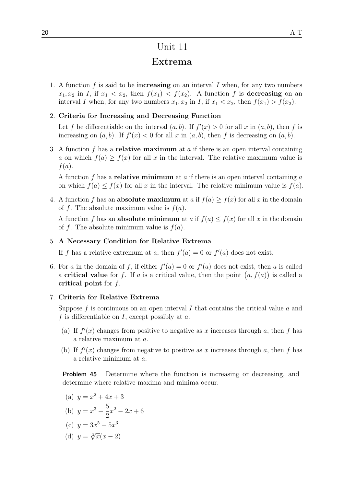### Unit 11

### Extrema

1. A function f is said to be **increasing** on an interval I when, for any two numbers  $x_1, x_2$  in I, if  $x_1 < x_2$ , then  $f(x_1) < f(x_2)$ . A function f is decreasing on an interval I when, for any two numbers  $x_1, x_2$  in I, if  $x_1 < x_2$ , then  $f(x_1) > f(x_2)$ .

### 2. Criteria for Increasing and Decreasing Function

Let f be differentiable on the interval  $(a, b)$ . If  $f'(x) > 0$  for all x in  $(a, b)$ , then f is increasing on  $(a, b)$ . If  $f'(x) < 0$  for all x in  $(a, b)$ , then f is decreasing on  $(a, b)$ .

3. A function f has a **relative maximum** at a if there is an open interval containing a on which  $f(a) \ge f(x)$  for all x in the interval. The relative maximum value is  $f(a).$ 

A function f has a **relative minimum** at a if there is an open interval containing a on which  $f(a) \leq f(x)$  for all x in the interval. The relative minimum value is  $f(a)$ .

4. A function f has an **absolute maximum** at a if  $f(a) > f(x)$  for all x in the domain of f. The absolute maximum value is  $f(a)$ .

A function f has an **absolute minimum** at a if  $f(a) \leq f(x)$  for all x in the domain of f. The absolute minimum value is  $f(a)$ .

#### 5. A Necessary Condition for Relative Extrema

If f has a relative extremum at a, then  $f'(a) = 0$  or  $f'(a)$  does not exist.

6. For a in the domain of f, if either  $f'(a) = 0$  or  $f'(a)$  does not exist, then a is called a critical value for f. If a is a critical value, then the point  $(a, f(a))$  is called a critical point for  $f$ .

### 7. Criteria for Relative Extrema

Suppose  $f$  is continuous on an open interval  $I$  that contains the critical value  $a$  and f is differentiable on I, except possibly at  $a$ .

- (a) If  $f'(x)$  changes from positive to negative as x increases through a, then f has a relative maximum at a.
- (b) If  $f'(x)$  changes from negative to positive as x increases through a, then f has a relative minimum at a.

Problem 45 Determine where the function is increasing or decreasing, and determine where relative maxima and minima occur.

(a) 
$$
y = x^2 + 4x + 3
$$

(b) 
$$
y = x^3 - \frac{5}{2}x^2 - 2x + 6
$$

(c) 
$$
y = 3x^5 - 5x^3
$$

(d) 
$$
y = \sqrt[3]{x(x-2)}
$$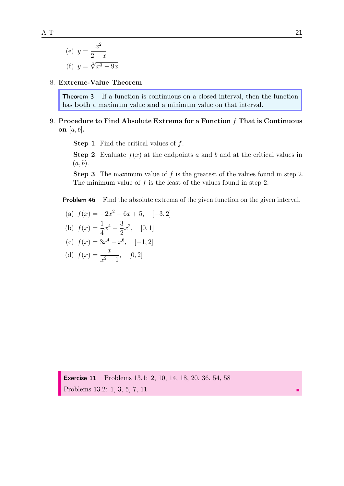(e) 
$$
y = \frac{x^2}{2 - x}
$$
  
(f)  $y = \sqrt[3]{x^3 - 9x}$ 

### 8. Extreme-Value Theorem

Theorem 3 If a function is continuous on a closed interval, then the function has **both** a maximum value **and** a minimum value on that interval.

### 9. Procedure to Find Absolute Extrema for a Function  $f$  That is Continuous on  $[a, b]$ .

**Step 1.** Find the critical values of  $f$ .

**Step 2.** Evaluate  $f(x)$  at the endpoints a and b and at the critical values in  $(a, b).$ 

**Step 3.** The maximum value of  $f$  is the greatest of the values found in step 2. The minimum value of  $f$  is the least of the values found in step 2.

**Problem 46** Find the absolute extrema of the given function on the given interval.

(a) 
$$
f(x) = -2x^2 - 6x + 5
$$
, [-3, 2]

(b) 
$$
f(x) = \frac{1}{4}x^4 - \frac{3}{2}x^2
$$
, [0, 1]

(c) 
$$
f(x) = 3x^4 - x^6
$$
, [-1, 2]

(d) 
$$
f(x) = \frac{x}{x^2 + 1}
$$
, [0, 2]

Exercise 11 Problems 13.1: 2, 10, 14, 18, 20, 36, 54, 58 Problems 13.2: 1, 3, 5, 7, 11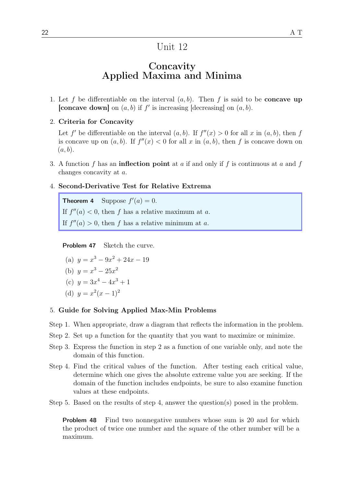### Unit 12

## **Concavity** Applied Maxima and Minima

- 1. Let f be differentiable on the interval  $(a, b)$ . Then f is said to be **concave up** [concave down] on  $(a, b)$  if  $f'$  is increasing [decreasing] on  $(a, b)$ .
- 2. Criteria for Concavity

Let f' be differentiable on the interval  $(a, b)$ . If  $f''(x) > 0$  for all x in  $(a, b)$ , then f is concave up on  $(a, b)$ . If  $f''(x) < 0$  for all x in  $(a, b)$ , then f is concave down on  $(a, b)$ .

- 3. A function f has an **inflection point** at a if and only if f is continuous at a and f changes concavity at a.
- 4. Second-Derivative Test for Relative Extrema

**Theorem 4** Suppose  $f'(a) = 0$ . If  $f''(a) < 0$ , then f has a relative maximum at a. If  $f''(a) > 0$ , then f has a relative minimum at a.

Problem 47 Sketch the curve.

(a)  $y = x^3 - 9x^2 + 24x - 19$ 

(b) 
$$
y = x^3 - 25x^2
$$

(c) 
$$
y = 3x^4 - 4x^3 + 1
$$

(d) 
$$
y = x^2(x-1)^2
$$

### 5. Guide for Solving Applied Max-Min Problems

- Step 1. When appropriate, draw a diagram that reflects the information in the problem.
- Step 2. Set up a function for the quantity that you want to maximize or minimize.
- Step 3. Express the function in step 2 as a function of one variable only, and note the domain of this function.
- Step 4. Find the critical values of the function. After testing each critical value, determine which one gives the absolute extreme value you are seeking. If the domain of the function includes endpoints, be sure to also examine function values at these endpoints.

Step 5. Based on the results of step 4, answer the question(s) posed in the problem.

Problem 48 Find two nonnegative numbers whose sum is 20 and for which the product of twice one number and the square of the other number will be a maximum.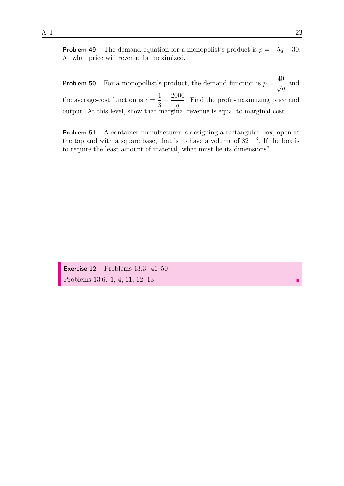**Problem 50** For a monopollist's product, the demand function is  $p = \frac{40}{6}$  $\frac{10}{\sqrt{q}}$  and the average-cost function is  $\bar{c} =$ 1 3  $+$ 2000 q . Find the profit-maximizing price and output. At this level, show that marginal revenue is equal to marginal cost.

Problem 51 A container manufacturer is designing a rectangular box, open at the top and with a square base, that is to have a volume of  $32 \text{ ft}^3$ . If the box is to require the least amount of material, what must be its dimensions?

Exercise 12 Problems 13.3: 41–50 Problems 13.6: 1, 4, 11, 12, 13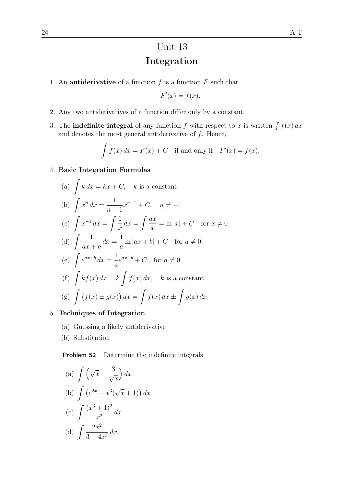# Unit 13 Integration

1. An **antiderivative** of a function  $f$  is a function  $F$  such that

$$
F'(x) = f(x).
$$

- 2. Any two antiderivatives of a function differ only by a constant.
- 3. The **indefinite integral** of any function f with respect to x is written  $\int f(x) dx$ and denotes the most general antiderivative of  $f$ . Hence,

$$
\int f(x) dx = F(x) + C \text{ if and only if } F'(x) = f(x).
$$

### 4. Basic Integration Formulas

(a) 
$$
\int k dx = kx + C
$$
,  $k$  is a constant  
\n(b)  $\int x^n dx = \frac{1}{n+1}x^{n+1} + C$ ,  $n \neq -1$   
\n(c)  $\int x^{-1} dx = \int \frac{1}{x} dx = \int \frac{dx}{x} = \ln |x| + C$  for  $x \neq 0$   
\n(d)  $\int \frac{1}{ax + b} dx = \frac{1}{a} \ln |ax + b| + C$  for  $a \neq 0$   
\n(e)  $\int e^{ax+b} dx = \frac{1}{a}e^{ax+b} + C$  for  $a \neq 0$   
\n(f)  $\int kf(x) dx = k \int f(x) dx$ ,  $k$  is a constant  
\n(g)  $\int (f(x) \pm g(x)) dx = \int f(x) dx \pm \int g(x) dx$ 

- 5. Techniques of Integration
	- (a) Guessing a likely antiderivative
	- (b) Substitution

Problem 52 Determine the indefinite integrals.

(a) 
$$
\int \left(\sqrt[3]{x} - \frac{3}{\sqrt[3]{x}}\right) dx
$$
  
\n(b) 
$$
\int \left(e^{2x} - x^3(\sqrt{x} + 1)\right) dx
$$
  
\n(c) 
$$
\int \frac{(x^3 + 1)^2}{x^2} dx
$$
  
\n(d) 
$$
\int \frac{2x^2}{3 - 4x^3} dx
$$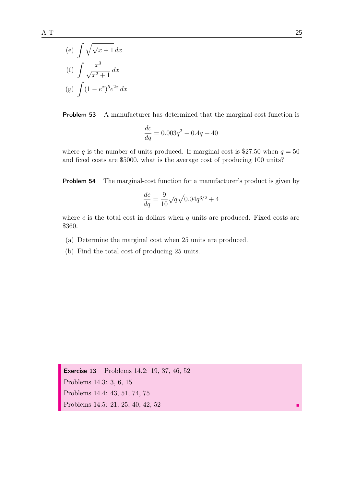(g) 
$$
\int (1 - e^x)^5 e^{2x} dx
$$

Problem 53 A manufacturer has determined that the marginal-cost function is

$$
\frac{dc}{dq} = 0.003q^2 - 0.4q + 40
$$

where q is the number of units produced. If marginal cost is \$27.50 when  $q = 50$ and fixed costs are \$5000, what is the average cost of producing 100 units?

Problem 54 The marginal-cost function for a manufacturer's product is given by

$$
\frac{dc}{dq} = \frac{9}{10} \sqrt{q} \sqrt{0.04 q^{3/2} + 4}
$$

where c is the total cost in dollars when  $q$  units are produced. Fixed costs are \$360.

- (a) Determine the marginal cost when 25 units are produced.
- (b) Find the total cost of producing 25 units.

Exercise 13 Problems 14.2: 19, 37, 46, 52 Problems 14.3: 3, 6, 15 Problems 14.4: 43, 51, 74, 75 Problems 14.5: 21, 25, 40, 42, 52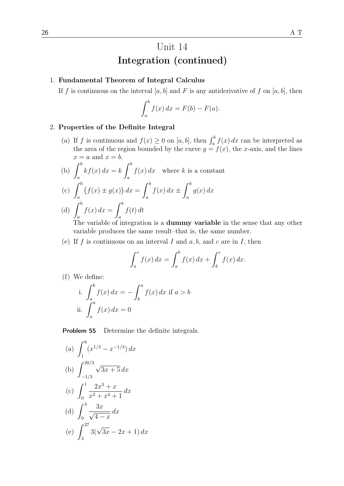### 1. Fundamental Theorem of Integral Calculus

If f is continuous on the interval [a, b] and F is any antiderivative of f on [a, b], then

$$
\int_a^b f(x) \, dx = F(b) - F(a).
$$

### 2. Properties of the Definite Integral

(a) If f is continuous and  $f(x) \ge 0$  on [a, b], then  $\int_a^b f(x) dx$  can be interpreted as the area of the region bounded by the curve  $y = f(x)$ , the x-axis, and the lines  $x = a$  and  $x = b$ .

(b) 
$$
\int_{a}^{b} kf(x) dx = k \int_{a}^{b} f(x) dx
$$
 where k is a constant  
\n(c)  $\int_{a}^{b} (f(x) \pm g(x)) dx = \int_{a}^{b} f(x) dx \pm \int_{a}^{b} g(x) dx$   
\n(d)  $\int_{a}^{b} f(x) dx = \int_{a}^{b} f(t) dt$ 

The variable of integration is a **dummy variable** in the sense that any other variable produces the same result–that is, the same number.

(e) If f is continuous on an interval I and  $a, b$ , and  $c$  are in I, then

$$
\int_a^c f(x) dx = \int_a^b f(x) dx + \int_b^c f(x) dx.
$$

(f) We define:

i. 
$$
\int_{a}^{b} f(x) dx = - \int_{b}^{a} f(x) dx
$$
 if  $a > b$   
ii.  $\int_{a}^{a} f(x) dx = 0$ 

Problem 55 Determine the definite integrals.

(a) 
$$
\int_{1}^{8} (x^{1/3} - x^{-1/3}) dx
$$
  
\n(b) 
$$
\int_{-1/3}^{20/3} \sqrt{3x + 5} dx
$$
  
\n(c) 
$$
\int_{0}^{1} \frac{2x^{3} + x}{x^{2} + x^{4} + 1} dx
$$
  
\n(d) 
$$
\int_{0}^{3} \frac{3x}{\sqrt{4 - x}} dx
$$
  
\n(e) 
$$
\int_{3}^{27} 3(\sqrt{3x} - 2x + 1) dx
$$